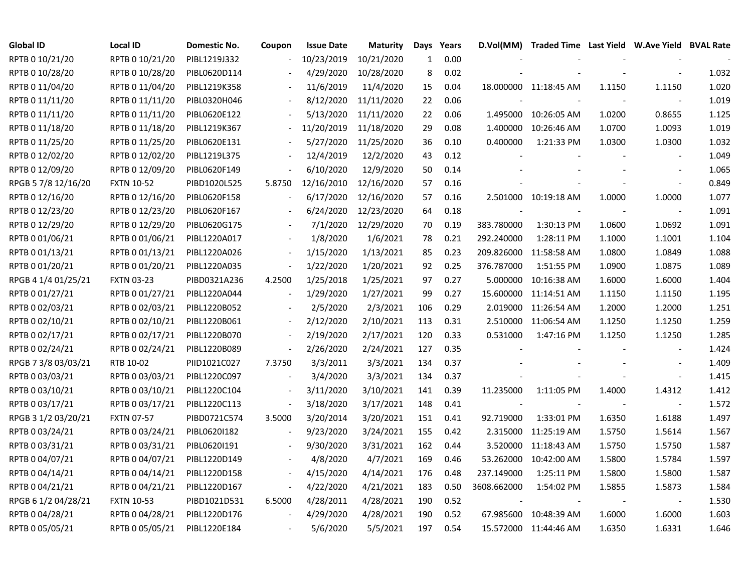| <b>Global ID</b>    | <b>Local ID</b>   | Domestic No. | Coupon                   | <b>Issue Date</b> | <b>Maturity</b> | Days         | Years |                          | D.Vol(MM) Traded Time Last Yield W.Ave Yield BVAL Rate |        |                          |       |
|---------------------|-------------------|--------------|--------------------------|-------------------|-----------------|--------------|-------|--------------------------|--------------------------------------------------------|--------|--------------------------|-------|
| RPTB 0 10/21/20     | RPTB 0 10/21/20   | PIBL1219J332 |                          | 10/23/2019        | 10/21/2020      | $\mathbf{1}$ | 0.00  |                          |                                                        |        |                          |       |
| RPTB 0 10/28/20     | RPTB 0 10/28/20   | PIBL0620D114 |                          | 4/29/2020         | 10/28/2020      | 8            | 0.02  |                          |                                                        |        |                          | 1.032 |
| RPTB 0 11/04/20     | RPTB 0 11/04/20   | PIBL1219K358 |                          | 11/6/2019         | 11/4/2020       | 15           | 0.04  |                          | 18.000000 11:18:45 AM                                  | 1.1150 | 1.1150                   | 1.020 |
| RPTB 0 11/11/20     | RPTB 0 11/11/20   | PIBL0320H046 |                          | 8/12/2020         | 11/11/2020      | 22           | 0.06  |                          |                                                        |        | $\overline{\phantom{a}}$ | 1.019 |
| RPTB 0 11/11/20     | RPTB 0 11/11/20   | PIBL0620E122 |                          | 5/13/2020         | 11/11/2020      | 22           | 0.06  | 1.495000                 | 10:26:05 AM                                            | 1.0200 | 0.8655                   | 1.125 |
| RPTB 0 11/18/20     | RPTB 0 11/18/20   | PIBL1219K367 | $\blacksquare$           | 11/20/2019        | 11/18/2020      | 29           | 0.08  | 1.400000                 | 10:26:46 AM                                            | 1.0700 | 1.0093                   | 1.019 |
| RPTB 0 11/25/20     | RPTB 0 11/25/20   | PIBL0620E131 |                          | 5/27/2020         | 11/25/2020      | 36           | 0.10  | 0.400000                 | 1:21:33 PM                                             | 1.0300 | 1.0300                   | 1.032 |
| RPTB 0 12/02/20     | RPTB 0 12/02/20   | PIBL1219L375 |                          | 12/4/2019         | 12/2/2020       | 43           | 0.12  |                          |                                                        |        |                          | 1.049 |
| RPTB 0 12/09/20     | RPTB 0 12/09/20   | PIBL0620F149 |                          | 6/10/2020         | 12/9/2020       | 50           | 0.14  |                          |                                                        |        | $\blacksquare$           | 1.065 |
| RPGB 5 7/8 12/16/20 | <b>FXTN 10-52</b> | PIBD1020L525 | 5.8750                   | 12/16/2010        | 12/16/2020      | 57           | 0.16  |                          |                                                        |        |                          | 0.849 |
| RPTB 0 12/16/20     | RPTB 0 12/16/20   | PIBL0620F158 |                          | 6/17/2020         | 12/16/2020      | 57           | 0.16  |                          | 2.501000 10:19:18 AM                                   | 1.0000 | 1.0000                   | 1.077 |
| RPTB 0 12/23/20     | RPTB 0 12/23/20   | PIBL0620F167 |                          | 6/24/2020         | 12/23/2020      | 64           | 0.18  | $\overline{\phantom{a}}$ |                                                        | $\sim$ | $\blacksquare$           | 1.091 |
| RPTB 0 12/29/20     | RPTB 0 12/29/20   | PIBL0620G175 |                          | 7/1/2020          | 12/29/2020      | 70           | 0.19  | 383.780000               | 1:30:13 PM                                             | 1.0600 | 1.0692                   | 1.091 |
| RPTB 0 01/06/21     | RPTB 0 01/06/21   | PIBL1220A017 |                          | 1/8/2020          | 1/6/2021        | 78           | 0.21  | 292.240000               | 1:28:11 PM                                             | 1.1000 | 1.1001                   | 1.104 |
| RPTB 0 01/13/21     | RPTB 0 01/13/21   | PIBL1220A026 |                          | 1/15/2020         | 1/13/2021       | 85           | 0.23  | 209.826000               | 11:58:58 AM                                            | 1.0800 | 1.0849                   | 1.088 |
| RPTB 0 01/20/21     | RPTB 0 01/20/21   | PIBL1220A035 |                          | 1/22/2020         | 1/20/2021       | 92           | 0.25  | 376.787000               | 1:51:55 PM                                             | 1.0900 | 1.0875                   | 1.089 |
| RPGB 4 1/4 01/25/21 | <b>FXTN 03-23</b> | PIBD0321A236 | 4.2500                   | 1/25/2018         | 1/25/2021       | 97           | 0.27  | 5.000000                 | 10:16:38 AM                                            | 1.6000 | 1.6000                   | 1.404 |
| RPTB 0 01/27/21     | RPTB 0 01/27/21   | PIBL1220A044 | $\overline{\phantom{a}}$ | 1/29/2020         | 1/27/2021       | 99           | 0.27  | 15.600000                | 11:14:51 AM                                            | 1.1150 | 1.1150                   | 1.195 |
| RPTB 0 02/03/21     | RPTB 0 02/03/21   | PIBL1220B052 | $\blacksquare$           | 2/5/2020          | 2/3/2021        | 106          | 0.29  | 2.019000                 | 11:26:54 AM                                            | 1.2000 | 1.2000                   | 1.251 |
| RPTB 0 02/10/21     | RPTB 0 02/10/21   | PIBL1220B061 | $\overline{\phantom{a}}$ | 2/12/2020         | 2/10/2021       | 113          | 0.31  | 2.510000                 | 11:06:54 AM                                            | 1.1250 | 1.1250                   | 1.259 |
| RPTB 0 02/17/21     | RPTB 0 02/17/21   | PIBL1220B070 | $\blacksquare$           | 2/19/2020         | 2/17/2021       | 120          | 0.33  | 0.531000                 | 1:47:16 PM                                             | 1.1250 | 1.1250                   | 1.285 |
| RPTB 0 02/24/21     | RPTB 0 02/24/21   | PIBL1220B089 | $\blacksquare$           | 2/26/2020         | 2/24/2021       | 127          | 0.35  |                          |                                                        |        | $\sim$                   | 1.424 |
| RPGB 7 3/8 03/03/21 | RTB 10-02         | PIID1021C027 | 7.3750                   | 3/3/2011          | 3/3/2021        | 134          | 0.37  |                          |                                                        |        | $\blacksquare$           | 1.409 |
| RPTB 0 03/03/21     | RPTB 0 03/03/21   | PIBL1220C097 | $\blacksquare$           | 3/4/2020          | 3/3/2021        | 134          | 0.37  |                          |                                                        |        | $\sim$                   | 1.415 |
| RPTB 0 03/10/21     | RPTB 0 03/10/21   | PIBL1220C104 | $\blacksquare$           | 3/11/2020         | 3/10/2021       | 141          | 0.39  | 11.235000                | 1:11:05 PM                                             | 1.4000 | 1.4312                   | 1.412 |
| RPTB 0 03/17/21     | RPTB 0 03/17/21   | PIBL1220C113 | $\overline{\phantom{a}}$ | 3/18/2020         | 3/17/2021       | 148          | 0.41  |                          |                                                        |        | $\overline{\phantom{a}}$ | 1.572 |
| RPGB 3 1/2 03/20/21 | <b>FXTN 07-57</b> | PIBD0721C574 | 3.5000                   | 3/20/2014         | 3/20/2021       | 151          | 0.41  | 92.719000                | 1:33:01 PM                                             | 1.6350 | 1.6188                   | 1.497 |
| RPTB 0 03/24/21     | RPTB 0 03/24/21   | PIBL0620I182 |                          | 9/23/2020         | 3/24/2021       | 155          | 0.42  | 2.315000                 | 11:25:19 AM                                            | 1.5750 | 1.5614                   | 1.567 |
| RPTB 0 03/31/21     | RPTB 0 03/31/21   | PIBL0620I191 |                          | 9/30/2020         | 3/31/2021       | 162          | 0.44  | 3.520000                 | 11:18:43 AM                                            | 1.5750 | 1.5750                   | 1.587 |
| RPTB 0 04/07/21     | RPTB 0 04/07/21   | PIBL1220D149 |                          | 4/8/2020          | 4/7/2021        | 169          | 0.46  | 53.262000                | 10:42:00 AM                                            | 1.5800 | 1.5784                   | 1.597 |
| RPTB 0 04/14/21     | RPTB 0 04/14/21   | PIBL1220D158 | $\overline{\phantom{a}}$ | 4/15/2020         | 4/14/2021       | 176          | 0.48  | 237.149000               | 1:25:11 PM                                             | 1.5800 | 1.5800                   | 1.587 |
| RPTB 0 04/21/21     | RPTB 0 04/21/21   | PIBL1220D167 | $\overline{\phantom{a}}$ | 4/22/2020         | 4/21/2021       | 183          | 0.50  | 3608.662000              | 1:54:02 PM                                             | 1.5855 | 1.5873                   | 1.584 |
| RPGB 6 1/2 04/28/21 | <b>FXTN 10-53</b> | PIBD1021D531 | 6.5000                   | 4/28/2011         | 4/28/2021       | 190          | 0.52  |                          |                                                        |        | $\overline{\phantom{a}}$ | 1.530 |
| RPTB 0 04/28/21     | RPTB 0 04/28/21   | PIBL1220D176 |                          | 4/29/2020         | 4/28/2021       | 190          | 0.52  | 67.985600                | 10:48:39 AM                                            | 1.6000 | 1.6000                   | 1.603 |
| RPTB 0 05/05/21     | RPTB 0 05/05/21   | PIBL1220E184 |                          | 5/6/2020          | 5/5/2021        | 197          | 0.54  |                          | 15.572000 11:44:46 AM                                  | 1.6350 | 1.6331                   | 1.646 |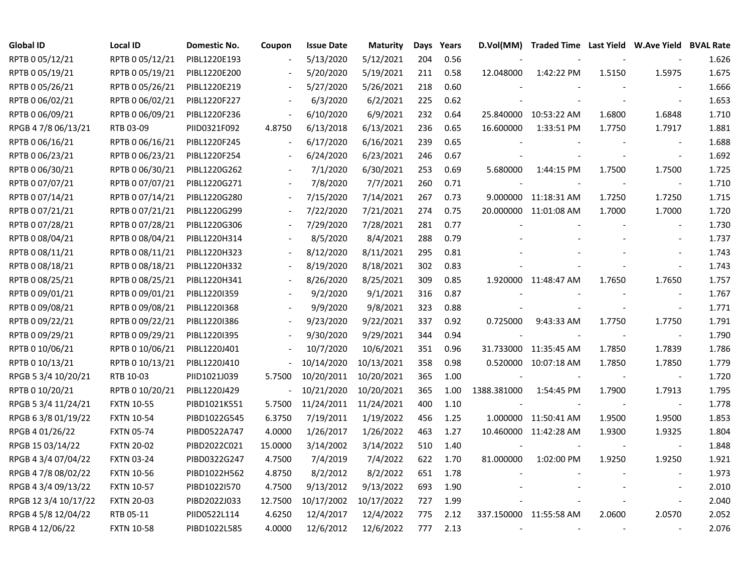| <b>Global ID</b>     | <b>Local ID</b>   | Domestic No. | Coupon                   | <b>Issue Date</b> | <b>Maturity</b> | Days | Years | D.Vol(MM)                | Traded Time Last Yield W.Ave Yield BVAL Rate |        |                          |       |
|----------------------|-------------------|--------------|--------------------------|-------------------|-----------------|------|-------|--------------------------|----------------------------------------------|--------|--------------------------|-------|
| RPTB 0 05/12/21      | RPTB 0 05/12/21   | PIBL1220E193 |                          | 5/13/2020         | 5/12/2021       | 204  | 0.56  |                          |                                              |        |                          | 1.626 |
| RPTB 0 05/19/21      | RPTB 0 05/19/21   | PIBL1220E200 |                          | 5/20/2020         | 5/19/2021       | 211  | 0.58  | 12.048000                | 1:42:22 PM                                   | 1.5150 | 1.5975                   | 1.675 |
| RPTB 0 05/26/21      | RPTB 0 05/26/21   | PIBL1220E219 |                          | 5/27/2020         | 5/26/2021       | 218  | 0.60  |                          |                                              |        |                          | 1.666 |
| RPTB 0 06/02/21      | RPTB 0 06/02/21   | PIBL1220F227 |                          | 6/3/2020          | 6/2/2021        | 225  | 0.62  |                          |                                              |        |                          | 1.653 |
| RPTB 0 06/09/21      | RPTB 0 06/09/21   | PIBL1220F236 | $\overline{\phantom{a}}$ | 6/10/2020         | 6/9/2021        | 232  | 0.64  |                          | 25.840000 10:53:22 AM                        | 1.6800 | 1.6848                   | 1.710 |
| RPGB 4 7/8 06/13/21  | RTB 03-09         | PIID0321F092 | 4.8750                   | 6/13/2018         | 6/13/2021       | 236  | 0.65  | 16.600000                | 1:33:51 PM                                   | 1.7750 | 1.7917                   | 1.881 |
| RPTB 0 06/16/21      | RPTB 0 06/16/21   | PIBL1220F245 | $\blacksquare$           | 6/17/2020         | 6/16/2021       | 239  | 0.65  |                          |                                              |        | $\overline{\phantom{a}}$ | 1.688 |
| RPTB 0 06/23/21      | RPTB 0 06/23/21   | PIBL1220F254 |                          | 6/24/2020         | 6/23/2021       | 246  | 0.67  |                          |                                              |        | $\overline{\phantom{a}}$ | 1.692 |
| RPTB 0 06/30/21      | RPTB 0 06/30/21   | PIBL1220G262 |                          | 7/1/2020          | 6/30/2021       | 253  | 0.69  | 5.680000                 | 1:44:15 PM                                   | 1.7500 | 1.7500                   | 1.725 |
| RPTB 0 07/07/21      | RPTB 0 07/07/21   | PIBL1220G271 |                          | 7/8/2020          | 7/7/2021        | 260  | 0.71  |                          |                                              |        | $\overline{\phantom{a}}$ | 1.710 |
| RPTB 0 07/14/21      | RPTB 0 07/14/21   | PIBL1220G280 |                          | 7/15/2020         | 7/14/2021       | 267  | 0.73  |                          | 9.000000 11:18:31 AM                         | 1.7250 | 1.7250                   | 1.715 |
| RPTB 0 07/21/21      | RPTB 0 07/21/21   | PIBL1220G299 |                          | 7/22/2020         | 7/21/2021       | 274  | 0.75  |                          | 20.000000 11:01:08 AM                        | 1.7000 | 1.7000                   | 1.720 |
| RPTB 0 07/28/21      | RPTB 0 07/28/21   | PIBL1220G306 |                          | 7/29/2020         | 7/28/2021       | 281  | 0.77  |                          |                                              |        |                          | 1.730 |
| RPTB 0 08/04/21      | RPTB 0 08/04/21   | PIBL1220H314 |                          | 8/5/2020          | 8/4/2021        | 288  | 0.79  |                          |                                              |        |                          | 1.737 |
| RPTB 0 08/11/21      | RPTB 0 08/11/21   | PIBL1220H323 |                          | 8/12/2020         | 8/11/2021       | 295  | 0.81  |                          |                                              |        |                          | 1.743 |
| RPTB 0 08/18/21      | RPTB 0 08/18/21   | PIBL1220H332 |                          | 8/19/2020         | 8/18/2021       | 302  | 0.83  |                          |                                              |        |                          | 1.743 |
| RPTB 0 08/25/21      | RPTB 0 08/25/21   | PIBL1220H341 |                          | 8/26/2020         | 8/25/2021       | 309  | 0.85  |                          | 1.920000 11:48:47 AM                         | 1.7650 | 1.7650                   | 1.757 |
| RPTB 0 09/01/21      | RPTB 0 09/01/21   | PIBL1220I359 | $\blacksquare$           | 9/2/2020          | 9/1/2021        | 316  | 0.87  |                          |                                              |        | $\overline{\phantom{a}}$ | 1.767 |
| RPTB 0 09/08/21      | RPTB 0 09/08/21   | PIBL1220I368 | $\blacksquare$           | 9/9/2020          | 9/8/2021        | 323  | 0.88  |                          |                                              |        | $\blacksquare$           | 1.771 |
| RPTB 0 09/22/21      | RPTB 0 09/22/21   | PIBL1220I386 | $\blacksquare$           | 9/23/2020         | 9/22/2021       | 337  | 0.92  | 0.725000                 | 9:43:33 AM                                   | 1.7750 | 1.7750                   | 1.791 |
| RPTB 0 09/29/21      | RPTB 0 09/29/21   | PIBL1220I395 |                          | 9/30/2020         | 9/29/2021       | 344  | 0.94  |                          |                                              |        | $\overline{\phantom{a}}$ | 1.790 |
| RPTB 0 10/06/21      | RPTB 0 10/06/21   | PIBL1220J401 |                          | 10/7/2020         | 10/6/2021       | 351  | 0.96  |                          | 31.733000 11:35:45 AM                        | 1.7850 | 1.7839                   | 1.786 |
| RPTB 0 10/13/21      | RPTB 0 10/13/21   | PIBL1220J410 | $\blacksquare$           | 10/14/2020        | 10/13/2021      | 358  | 0.98  |                          | 0.520000 10:07:18 AM                         | 1.7850 | 1.7850                   | 1.779 |
| RPGB 5 3/4 10/20/21  | RTB 10-03         | PIID1021J039 | 5.7500                   | 10/20/2011        | 10/20/2021      | 365  | 1.00  | $\sim$                   |                                              |        | $\overline{\phantom{a}}$ | 1.720 |
| RPTB 0 10/20/21      | RPTB 0 10/20/21   | PIBL1220J429 | $\blacksquare$           | 10/21/2020        | 10/20/2021      | 365  | 1.00  | 1388.381000              | 1:54:45 PM                                   | 1.7900 | 1.7913                   | 1.795 |
| RPGB 5 3/4 11/24/21  | <b>FXTN 10-55</b> | PIBD1021K551 | 5.7500                   | 11/24/2011        | 11/24/2021      | 400  | 1.10  |                          |                                              |        | $\overline{\phantom{a}}$ | 1.778 |
| RPGB 6 3/8 01/19/22  | <b>FXTN 10-54</b> | PIBD1022G545 | 6.3750                   | 7/19/2011         | 1/19/2022       | 456  | 1.25  |                          | 1.000000 11:50:41 AM                         | 1.9500 | 1.9500                   | 1.853 |
| RPGB 4 01/26/22      | <b>FXTN 05-74</b> | PIBD0522A747 | 4.0000                   | 1/26/2017         | 1/26/2022       | 463  | 1.27  |                          | 10.460000 11:42:28 AM                        | 1.9300 | 1.9325                   | 1.804 |
| RPGB 15 03/14/22     | <b>FXTN 20-02</b> | PIBD2022C021 | 15.0000                  | 3/14/2002         | 3/14/2022       | 510  | 1.40  |                          |                                              |        | $\overline{\phantom{a}}$ | 1.848 |
| RPGB 4 3/4 07/04/22  | <b>FXTN 03-24</b> | PIBD0322G247 | 4.7500                   | 7/4/2019          | 7/4/2022        | 622  | 1.70  | 81.000000                | 1:02:00 PM                                   | 1.9250 | 1.9250                   | 1.921 |
| RPGB 4 7/8 08/02/22  | <b>FXTN 10-56</b> | PIBD1022H562 | 4.8750                   | 8/2/2012          | 8/2/2022        | 651  | 1.78  |                          |                                              |        |                          | 1.973 |
| RPGB 4 3/4 09/13/22  | <b>FXTN 10-57</b> | PIBD1022I570 | 4.7500                   | 9/13/2012         | 9/13/2022       | 693  | 1.90  |                          |                                              |        | $\overline{a}$           | 2.010 |
| RPGB 12 3/4 10/17/22 | <b>FXTN 20-03</b> | PIBD2022J033 | 12.7500                  | 10/17/2002        | 10/17/2022      | 727  | 1.99  |                          |                                              |        | $\overline{\phantom{a}}$ | 2.040 |
| RPGB 4 5/8 12/04/22  | RTB 05-11         | PIID0522L114 | 4.6250                   | 12/4/2017         | 12/4/2022       | 775  | 2.12  |                          | 337.150000 11:55:58 AM                       | 2.0600 | 2.0570                   | 2.052 |
| RPGB 4 12/06/22      | <b>FXTN 10-58</b> | PIBD1022L585 | 4.0000                   | 12/6/2012         | 12/6/2022       | 777  | 2.13  | $\overline{\phantom{a}}$ |                                              |        |                          | 2.076 |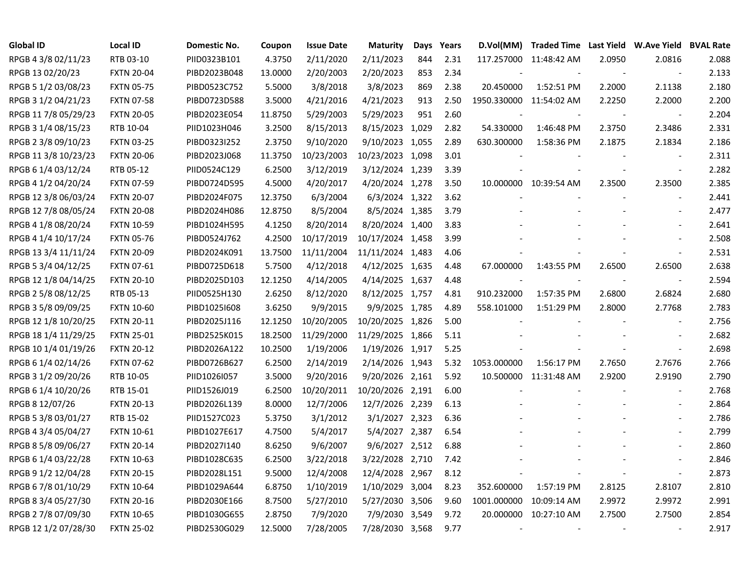| <b>Global ID</b>     | <b>Local ID</b>   | Domestic No. | Coupon  | <b>Issue Date</b> | <b>Maturity</b>  | Days | Years | D.Vol(MM)               | Traded Time Last Yield W.Ave Yield BVAL Rate |        |                          |       |
|----------------------|-------------------|--------------|---------|-------------------|------------------|------|-------|-------------------------|----------------------------------------------|--------|--------------------------|-------|
| RPGB 4 3/8 02/11/23  | RTB 03-10         | PIID0323B101 | 4.3750  | 2/11/2020         | 2/11/2023        | 844  | 2.31  |                         | 117.257000 11:48:42 AM                       | 2.0950 | 2.0816                   | 2.088 |
| RPGB 13 02/20/23     | <b>FXTN 20-04</b> | PIBD2023B048 | 13.0000 | 2/20/2003         | 2/20/2023        | 853  | 2.34  |                         |                                              |        | $\overline{\phantom{a}}$ | 2.133 |
| RPGB 5 1/2 03/08/23  | <b>FXTN 05-75</b> | PIBD0523C752 | 5.5000  | 3/8/2018          | 3/8/2023         | 869  | 2.38  | 20.450000               | 1:52:51 PM                                   | 2.2000 | 2.1138                   | 2.180 |
| RPGB 3 1/2 04/21/23  | <b>FXTN 07-58</b> | PIBD0723D588 | 3.5000  | 4/21/2016         | 4/21/2023        | 913  | 2.50  | 1950.330000 11:54:02 AM |                                              | 2.2250 | 2.2000                   | 2.200 |
| RPGB 11 7/8 05/29/23 | <b>FXTN 20-05</b> | PIBD2023E054 | 11.8750 | 5/29/2003         | 5/29/2023        | 951  | 2.60  |                         |                                              |        | $\overline{\phantom{a}}$ | 2.204 |
| RPGB 3 1/4 08/15/23  | RTB 10-04         | PIID1023H046 | 3.2500  | 8/15/2013         | 8/15/2023 1,029  |      | 2.82  | 54.330000               | 1:46:48 PM                                   | 2.3750 | 2.3486                   | 2.331 |
| RPGB 2 3/8 09/10/23  | <b>FXTN 03-25</b> | PIBD0323I252 | 2.3750  | 9/10/2020         | 9/10/2023 1,055  |      | 2.89  | 630.300000              | 1:58:36 PM                                   | 2.1875 | 2.1834                   | 2.186 |
| RPGB 11 3/8 10/23/23 | <b>FXTN 20-06</b> | PIBD2023J068 | 11.3750 | 10/23/2003        | 10/23/2023 1,098 |      | 3.01  |                         |                                              |        | $\overline{\phantom{a}}$ | 2.311 |
| RPGB 6 1/4 03/12/24  | RTB 05-12         | PIID0524C129 | 6.2500  | 3/12/2019         | 3/12/2024 1,239  |      | 3.39  |                         |                                              |        | $\sim$                   | 2.282 |
| RPGB 4 1/2 04/20/24  | <b>FXTN 07-59</b> | PIBD0724D595 | 4.5000  | 4/20/2017         | 4/20/2024 1,278  |      | 3.50  |                         | 10.000000 10:39:54 AM                        | 2.3500 | 2.3500                   | 2.385 |
| RPGB 12 3/8 06/03/24 | <b>FXTN 20-07</b> | PIBD2024F075 | 12.3750 | 6/3/2004          | 6/3/2024 1,322   |      | 3.62  |                         |                                              |        | $\overline{\phantom{a}}$ | 2.441 |
| RPGB 12 7/8 08/05/24 | <b>FXTN 20-08</b> | PIBD2024H086 | 12.8750 | 8/5/2004          | 8/5/2024 1,385   |      | 3.79  |                         |                                              |        | $\sim$                   | 2.477 |
| RPGB 4 1/8 08/20/24  | <b>FXTN 10-59</b> | PIBD1024H595 | 4.1250  | 8/20/2014         | 8/20/2024 1,400  |      | 3.83  |                         |                                              |        | $\overline{a}$           | 2.641 |
| RPGB 4 1/4 10/17/24  | <b>FXTN 05-76</b> | PIBD0524J762 | 4.2500  | 10/17/2019        | 10/17/2024 1,458 |      | 3.99  |                         |                                              |        | $\overline{\phantom{a}}$ | 2.508 |
| RPGB 13 3/4 11/11/24 | <b>FXTN 20-09</b> | PIBD2024K091 | 13.7500 | 11/11/2004        | 11/11/2024 1,483 |      | 4.06  |                         |                                              |        | $\sim$                   | 2.531 |
| RPGB 5 3/4 04/12/25  | <b>FXTN 07-61</b> | PIBD0725D618 | 5.7500  | 4/12/2018         | 4/12/2025 1,635  |      | 4.48  | 67.000000               | 1:43:55 PM                                   | 2.6500 | 2.6500                   | 2.638 |
| RPGB 12 1/8 04/14/25 | <b>FXTN 20-10</b> | PIBD2025D103 | 12.1250 | 4/14/2005         | 4/14/2025 1,637  |      | 4.48  |                         |                                              |        | $\overline{\phantom{a}}$ | 2.594 |
| RPGB 2 5/8 08/12/25  | RTB 05-13         | PIID0525H130 | 2.6250  | 8/12/2020         | 8/12/2025 1,757  |      | 4.81  | 910.232000              | 1:57:35 PM                                   | 2.6800 | 2.6824                   | 2.680 |
| RPGB 3 5/8 09/09/25  | <b>FXTN 10-60</b> | PIBD1025I608 | 3.6250  | 9/9/2015          | 9/9/2025 1,785   |      | 4.89  | 558.101000              | 1:51:29 PM                                   | 2.8000 | 2.7768                   | 2.783 |
| RPGB 12 1/8 10/20/25 | <b>FXTN 20-11</b> | PIBD2025J116 | 12.1250 | 10/20/2005        | 10/20/2025 1,826 |      | 5.00  |                         |                                              |        | $\overline{\phantom{a}}$ | 2.756 |
| RPGB 18 1/4 11/29/25 | <b>FXTN 25-01</b> | PIBD2525K015 | 18.2500 | 11/29/2000        | 11/29/2025 1,866 |      | 5.11  |                         |                                              |        |                          | 2.682 |
| RPGB 10 1/4 01/19/26 | <b>FXTN 20-12</b> | PIBD2026A122 | 10.2500 | 1/19/2006         | 1/19/2026 1,917  |      | 5.25  |                         |                                              |        | $\overline{\phantom{a}}$ | 2.698 |
| RPGB 6 1/4 02/14/26  | <b>FXTN 07-62</b> | PIBD0726B627 | 6.2500  | 2/14/2019         | 2/14/2026 1,943  |      | 5.32  | 1053.000000             | 1:56:17 PM                                   | 2.7650 | 2.7676                   | 2.766 |
| RPGB 3 1/2 09/20/26  | RTB 10-05         | PIID1026I057 | 3.5000  | 9/20/2016         | 9/20/2026 2,161  |      | 5.92  | 10.500000               | 11:31:48 AM                                  | 2.9200 | 2.9190                   | 2.790 |
| RPGB 6 1/4 10/20/26  | RTB 15-01         | PIID1526J019 | 6.2500  | 10/20/2011        | 10/20/2026 2,191 |      | 6.00  |                         |                                              |        | $\sim$                   | 2.768 |
| RPGB 8 12/07/26      | <b>FXTN 20-13</b> | PIBD2026L139 | 8.0000  | 12/7/2006         | 12/7/2026 2,239  |      | 6.13  |                         |                                              |        | $\blacksquare$           | 2.864 |
| RPGB 5 3/8 03/01/27  | RTB 15-02         | PIID1527C023 | 5.3750  | 3/1/2012          | 3/1/2027 2,323   |      | 6.36  |                         |                                              |        | $\blacksquare$           | 2.786 |
| RPGB 4 3/4 05/04/27  | <b>FXTN 10-61</b> | PIBD1027E617 | 4.7500  | 5/4/2017          | 5/4/2027 2,387   |      | 6.54  |                         |                                              |        |                          | 2.799 |
| RPGB 8 5/8 09/06/27  | <b>FXTN 20-14</b> | PIBD2027I140 | 8.6250  | 9/6/2007          | 9/6/2027 2,512   |      | 6.88  |                         |                                              |        |                          | 2.860 |
| RPGB 6 1/4 03/22/28  | <b>FXTN 10-63</b> | PIBD1028C635 | 6.2500  | 3/22/2018         | 3/22/2028 2,710  |      | 7.42  |                         |                                              |        |                          | 2.846 |
| RPGB 9 1/2 12/04/28  | <b>FXTN 20-15</b> | PIBD2028L151 | 9.5000  | 12/4/2008         | 12/4/2028 2,967  |      | 8.12  |                         |                                              |        | $\overline{\phantom{a}}$ | 2.873 |
| RPGB 6 7/8 01/10/29  | <b>FXTN 10-64</b> | PIBD1029A644 | 6.8750  | 1/10/2019         | 1/10/2029 3,004  |      | 8.23  | 352.600000              | 1:57:19 PM                                   | 2.8125 | 2.8107                   | 2.810 |
| RPGB 8 3/4 05/27/30  | <b>FXTN 20-16</b> | PIBD2030E166 | 8.7500  | 5/27/2010         | 5/27/2030 3,506  |      | 9.60  | 1001.000000             | 10:09:14 AM                                  | 2.9972 | 2.9972                   | 2.991 |
| RPGB 2 7/8 07/09/30  | <b>FXTN 10-65</b> | PIBD1030G655 | 2.8750  | 7/9/2020          | 7/9/2030 3,549   |      | 9.72  | 20.000000               | 10:27:10 AM                                  | 2.7500 | 2.7500                   | 2.854 |
| RPGB 12 1/2 07/28/30 | <b>FXTN 25-02</b> | PIBD2530G029 | 12.5000 | 7/28/2005         | 7/28/2030 3,568  |      | 9.77  |                         |                                              |        |                          | 2.917 |